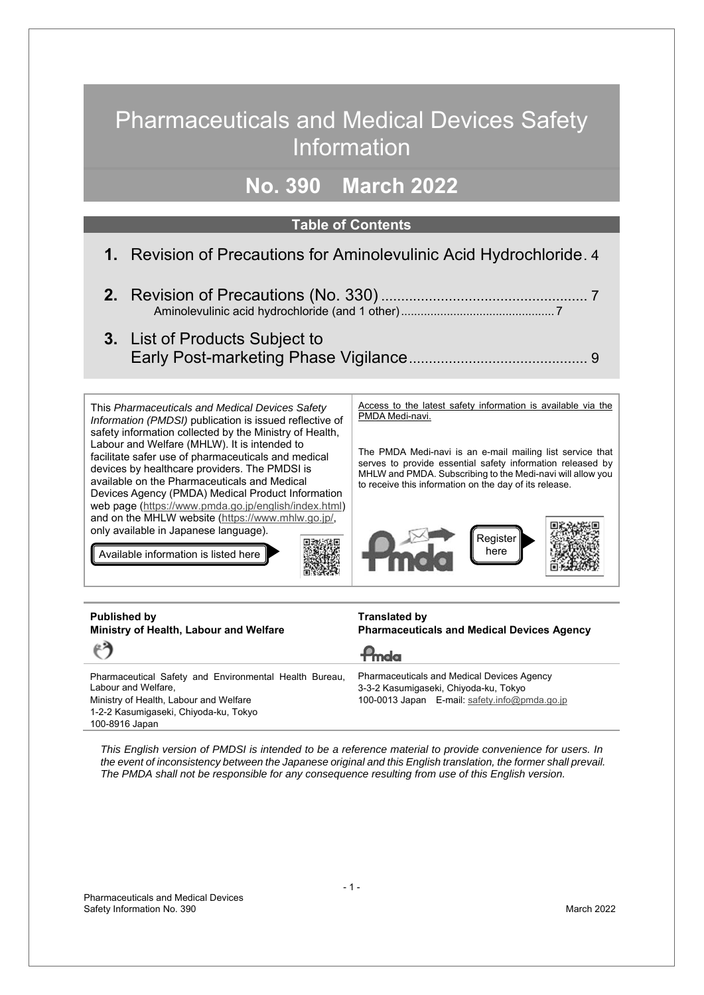# Pharmaceuticals and Medical Devices Safety Information

## **No. 390 March 2022**

#### **Table of Contents**

- **1.** Revision of Precautions for Aminolevulinic Acid Hydrochloride[. 4](#page-3-0)
- **2.** Revision of Precautions (No. 330) ..........................................[.......](#page-6-0).[.. 7](#page-6-0) Aminolevulinic acid hydrochloride (and 1 other)............................................... 7
- **3.** List of Products Subject to Early Post-marketing Phase Vigilance...........................................[.. 9](#page-8-0)

This *Pharmaceuticals and Medical Devices Safety Information (PMDSI)* publication is issued reflective of safety information collected by the Ministry of Health, Labour and Welfare (MHLW). It is intended to facilitate safer use of pharmaceuticals and medical devices by healthcare providers. The PMDSI is available on the Pharmaceuticals and Medical Devices Agency (PMDA) Medical Product Information web page (https://www.pmda.go.jp/english/index.html) and on the MHLW website (https://www.mhlw.go.jp/, only available in Japanese language).

Available information is listed here



Access to the latest safety information is available via the PMDA Medi-navi.

The PMDA Medi-navi is an e-mail mailing list service that serves to provide essential safety information released by MHLW and PMDA. Subscribing to the Medi-navi will allow you to receive this information on the day of its release.



| Published by<br>Ministry of Health, Labour and Welfare                                                                                                           | <b>Translated by</b><br><b>Pharmaceuticals and Medical Devices Agency</b>                                                                   |
|------------------------------------------------------------------------------------------------------------------------------------------------------------------|---------------------------------------------------------------------------------------------------------------------------------------------|
| $\epsilon$                                                                                                                                                       | $P_{\text{md}\alpha}$                                                                                                                       |
| Pharmaceutical Safety and Environmental Health Bureau,<br>Labour and Welfare,<br>Ministry of Health, Labour and Welfare<br>1-2-2 Kasumigaseki, Chiyoda-ku, Tokyo | <b>Pharmaceuticals and Medical Devices Agency</b><br>3-3-2 Kasumigaseki, Chiyoda-ku, Tokyo<br>100-0013 Japan E-mail: safety.info@pmda.go.jp |

100-8916 Japan

*This English version of PMDSI is intended to be a reference material to provide convenience for users. In the event of inconsistency between the Japanese original and this English translation, the former shall prevail. The PMDA shall not be responsible for any consequence resulting from use of this English version.*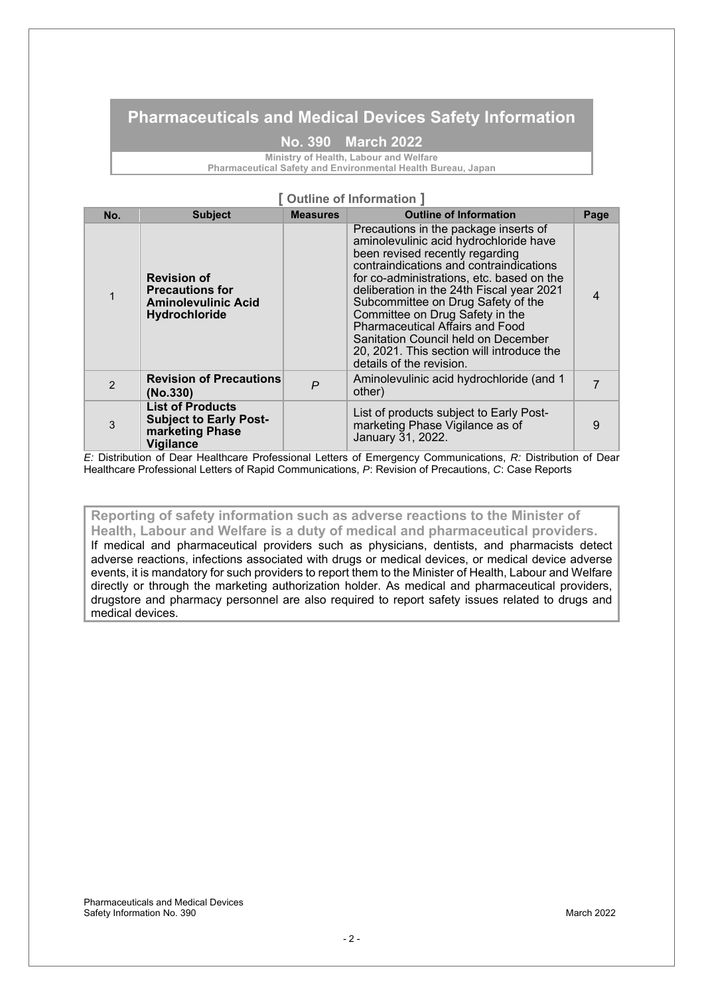### **Pharmaceuticals and Medical Devices Safety Information**

#### **No. 390 March 2022**

**Ministry of Health, Labour and Welfare**

**Pharmaceutical Safety and Environmental Health Bureau, Japan**

#### **[ Outline of Information ]**

| No. | <b>Subject</b>                                                                                  | <b>Measures</b> | <b>Outline of Information</b>                                                                                                                                                                                                                                                                                                                                                                                                                                                              | Page |
|-----|-------------------------------------------------------------------------------------------------|-----------------|--------------------------------------------------------------------------------------------------------------------------------------------------------------------------------------------------------------------------------------------------------------------------------------------------------------------------------------------------------------------------------------------------------------------------------------------------------------------------------------------|------|
|     | <b>Revision of</b><br><b>Precautions for</b><br><b>Aminolevulinic Acid</b><br>Hydrochloride     |                 | Precautions in the package inserts of<br>aminolevulinic acid hydrochloride have<br>been revised recently regarding<br>contraindications and contraindications<br>for co-administrations, etc. based on the<br>deliberation in the 24th Fiscal year 2021<br>Subcommittee on Drug Safety of the<br>Committee on Drug Safety in the<br><b>Pharmaceutical Affairs and Food</b><br>Sanitation Council held on December<br>20, 2021. This section will introduce the<br>details of the revision. |      |
| 2   | <b>Revision of Precautions</b><br>(No.330)                                                      | $\overline{P}$  | Aminolevulinic acid hydrochloride (and 1<br>other)                                                                                                                                                                                                                                                                                                                                                                                                                                         |      |
| 3   | <b>List of Products</b><br><b>Subject to Early Post-</b><br>marketing Phase<br><b>Vigilance</b> |                 | List of products subject to Early Post-<br>marketing Phase Vigilance as of<br>January 31, 2022.                                                                                                                                                                                                                                                                                                                                                                                            | 9    |

*E:* Distribution of Dear Healthcare Professional Letters of Emergency Communications, *R:* Distribution of Dear Healthcare Professional Letters of Rapid Communications, *P*: Revision of Precautions, *C*: Case Reports

### **Reporting of safety information such as adverse reactions to the Minister of**

**Health, Labour and Welfare is a duty of medical and pharmaceutical providers.** If medical and pharmaceutical providers such as physicians, dentists, and pharmacists detect adverse reactions, infections associated with drugs or medical devices, or medical device adverse events, it is mandatory for such providers to report them to the Minister of Health, Labour and Welfare directly or through the marketing authorization holder. As medical and pharmaceutical providers, drugstore and pharmacy personnel are also required to report safety issues related to drugs and medical devices.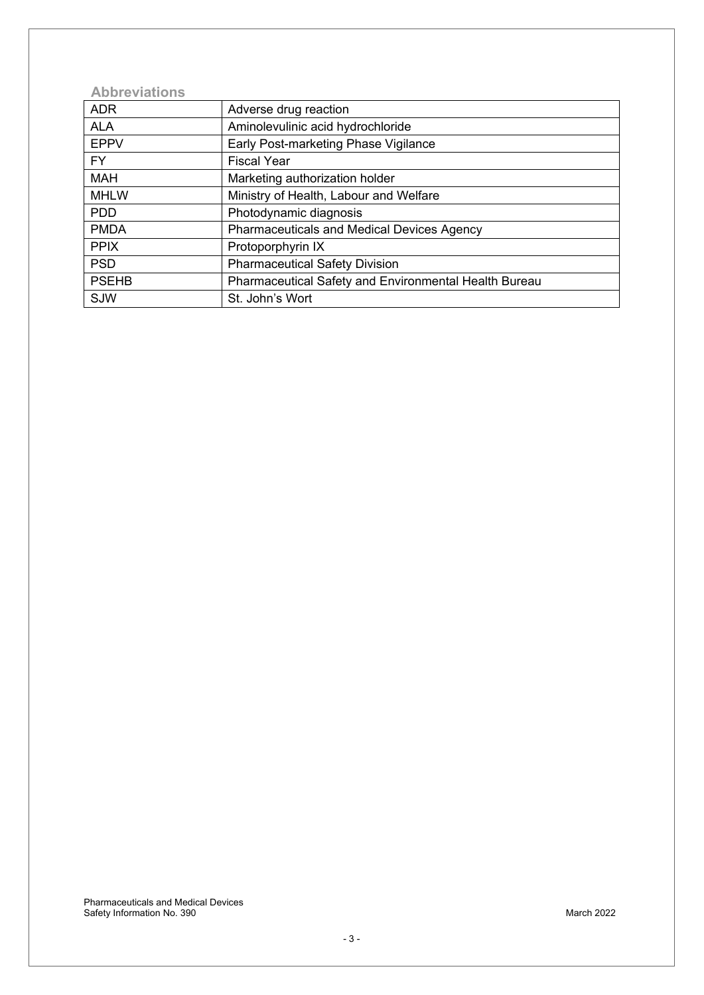### **Abbreviations**

| <b>ADR</b>   | Adverse drug reaction                                 |
|--------------|-------------------------------------------------------|
| <b>ALA</b>   | Aminolevulinic acid hydrochloride                     |
| <b>EPPV</b>  | Early Post-marketing Phase Vigilance                  |
| FY.          | <b>Fiscal Year</b>                                    |
| <b>MAH</b>   | Marketing authorization holder                        |
| <b>MHLW</b>  | Ministry of Health, Labour and Welfare                |
| <b>PDD</b>   | Photodynamic diagnosis                                |
| <b>PMDA</b>  | <b>Pharmaceuticals and Medical Devices Agency</b>     |
| <b>PPIX</b>  | Protoporphyrin IX                                     |
| <b>PSD</b>   | <b>Pharmaceutical Safety Division</b>                 |
| <b>PSEHB</b> | Pharmaceutical Safety and Environmental Health Bureau |
| SJW          | St. John's Wort                                       |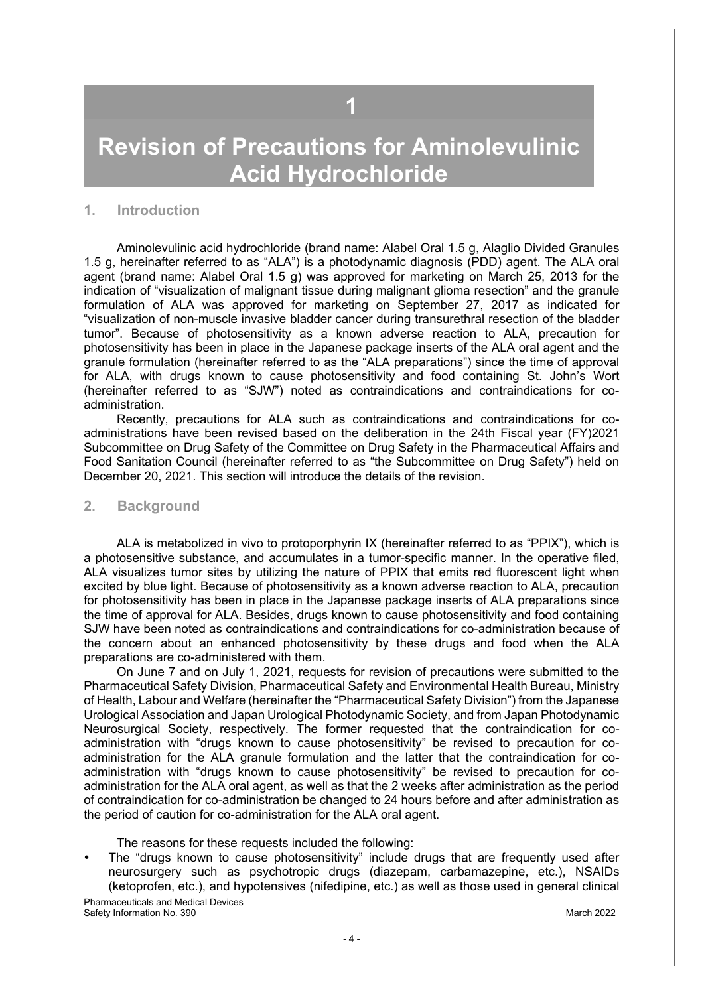# **1**

# <span id="page-3-0"></span>**Revision of Precautions for Aminolevulinic Acid Hydrochloride**

#### **1. Introduction**

Aminolevulinic acid hydrochloride (brand name: Alabel Oral 1.5 g, Alaglio Divided Granules 1.5 g, hereinafter referred to as "ALA") is a photodynamic diagnosis (PDD) agent. The ALA oral agent (brand name: Alabel Oral 1.5 g) was approved for marketing on March 25, 2013 for the indication of "visualization of malignant tissue during malignant glioma resection" and the granule formulation of ALA was approved for marketing on September 27, 2017 as indicated for "visualization of non-muscle invasive bladder cancer during transurethral resection of the bladder tumor". Because of photosensitivity as a known adverse reaction to ALA, precaution for photosensitivity has been in place in the Japanese package inserts of the ALA oral agent and the granule formulation (hereinafter referred to as the "ALA preparations") since the time of approval for ALA, with drugs known to cause photosensitivity and food containing St. John's Wort (hereinafter referred to as "SJW") noted as contraindications and contraindications for coadministration.

Recently, precautions for ALA such as contraindications and contraindications for coadministrations have been revised based on the deliberation in the 24th Fiscal year (FY)2021 Subcommittee on Drug Safety of the Committee on Drug Safety in the Pharmaceutical Affairs and Food Sanitation Council (hereinafter referred to as "the Subcommittee on Drug Safety") held on December 20, 2021. This section will introduce the details of the revision.

#### **2. Background**

ALA is metabolized in vivo to protoporphyrin IX (hereinafter referred to as "PPIX"), which is a photosensitive substance, and accumulates in a tumor-specific manner. In the operative filed, ALA visualizes tumor sites by utilizing the nature of PPIX that emits red fluorescent light when excited by blue light. Because of photosensitivity as a known adverse reaction to ALA, precaution for photosensitivity has been in place in the Japanese package inserts of ALA preparations since the time of approval for ALA. Besides, drugs known to cause photosensitivity and food containing SJW have been noted as contraindications and contraindications for co-administration because of the concern about an enhanced photosensitivity by these drugs and food when the ALA preparations are co-administered with them.

On June 7 and on July 1, 2021, requests for revision of precautions were submitted to the Pharmaceutical Safety Division, Pharmaceutical Safety and Environmental Health Bureau, Ministry of Health, Labour and Welfare (hereinafter the "Pharmaceutical Safety Division") from the Japanese Urological Association and Japan Urological Photodynamic Society, and from Japan Photodynamic Neurosurgical Society, respectively. The former requested that the contraindication for coadministration with "drugs known to cause photosensitivity" be revised to precaution for coadministration for the ALA granule formulation and the latter that the contraindication for coadministration with "drugs known to cause photosensitivity" be revised to precaution for coadministration for the ALA oral agent, as well as that the 2 weeks after administration as the period of contraindication for co-administration be changed to 24 hours before and after administration as the period of caution for co-administration for the ALA oral agent.

The reasons for these requests included the following:

The "drugs known to cause photosensitivity" include drugs that are frequently used after neurosurgery such as psychotropic drugs (diazepam, carbamazepine, etc.), NSAIDs (ketoprofen, etc.), and hypotensives (nifedipine, etc.) as well as those used in general clinical

Pharmaceuticals and Medical Devices Safety Information No. 390 **March 2022** March 2022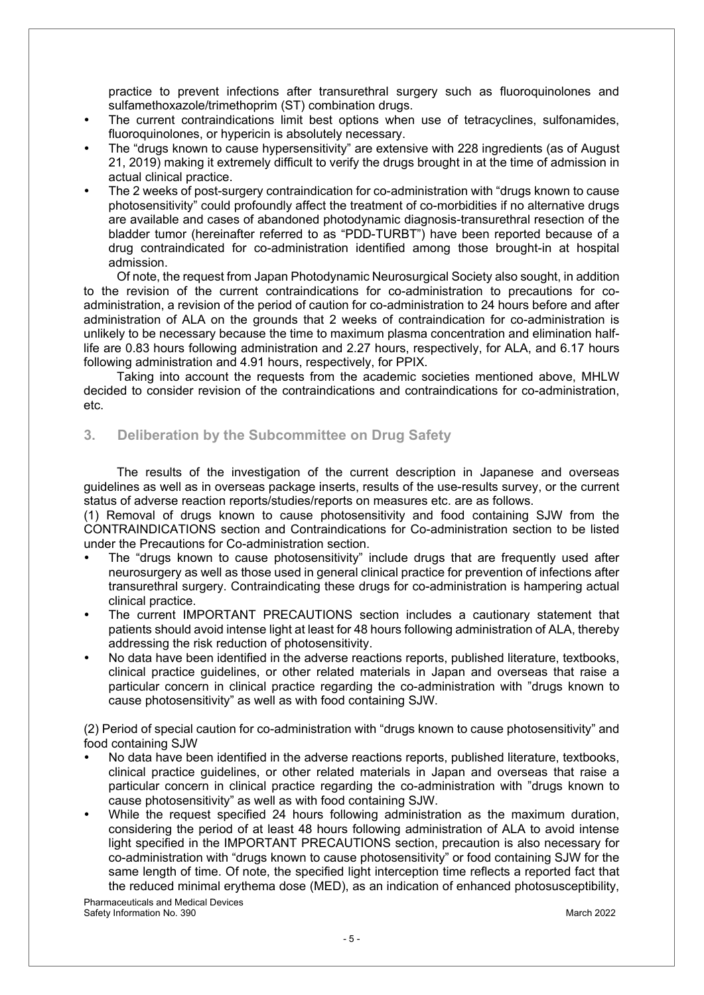practice to prevent infections after transurethral surgery such as fluoroquinolones and sulfamethoxazole/trimethoprim (ST) combination drugs.

- The current contraindications limit best options when use of tetracyclines, sulfonamides, fluoroquinolones, or hypericin is absolutely necessary.
- The "drugs known to cause hypersensitivity" are extensive with 228 ingredients (as of August 21, 2019) making it extremely difficult to verify the drugs brought in at the time of admission in actual clinical practice.
- The 2 weeks of post-surgery contraindication for co-administration with "drugs known to cause photosensitivity" could profoundly affect the treatment of co-morbidities if no alternative drugs are available and cases of abandoned photodynamic diagnosis-transurethral resection of the bladder tumor (hereinafter referred to as "PDD-TURBT") have been reported because of a drug contraindicated for co-administration identified among those brought-in at hospital admission.

Of note, the request from Japan Photodynamic Neurosurgical Society also sought, in addition to the revision of the current contraindications for co-administration to precautions for coadministration, a revision of the period of caution for co-administration to 24 hours before and after administration of ALA on the grounds that 2 weeks of contraindication for co-administration is unlikely to be necessary because the time to maximum plasma concentration and elimination halflife are 0.83 hours following administration and 2.27 hours, respectively, for ALA, and 6.17 hours following administration and 4.91 hours, respectively, for PPIX.

Taking into account the requests from the academic societies mentioned above, MHLW decided to consider revision of the contraindications and contraindications for co-administration, etc.

#### **3. Deliberation by the Subcommittee on Drug Safety**

The results of the investigation of the current description in Japanese and overseas guidelines as well as in overseas package inserts, results of the use-results survey, or the current status of adverse reaction reports/studies/reports on measures etc. are as follows.

(1) Removal of drugs known to cause photosensitivity and food containing SJW from the CONTRAINDICATIONS section and Contraindications for Co-administration section to be listed under the Precautions for Co-administration section.

- The "drugs known to cause photosensitivity" include drugs that are frequently used after neurosurgery as well as those used in general clinical practice for prevention of infections after transurethral surgery. Contraindicating these drugs for co-administration is hampering actual clinical practice.
- The current IMPORTANT PRECAUTIONS section includes a cautionary statement that patients should avoid intense light at least for 48 hours following administration of ALA, thereby addressing the risk reduction of photosensitivity.
- No data have been identified in the adverse reactions reports, published literature, textbooks, clinical practice guidelines, or other related materials in Japan and overseas that raise a particular concern in clinical practice regarding the co-administration with "drugs known to cause photosensitivity" as well as with food containing SJW.

(2) Period of special caution for co-administration with "drugs known to cause photosensitivity" and food containing SJW

- No data have been identified in the adverse reactions reports, published literature, textbooks, clinical practice guidelines, or other related materials in Japan and overseas that raise a particular concern in clinical practice regarding the co-administration with "drugs known to cause photosensitivity" as well as with food containing SJW.
- While the request specified 24 hours following administration as the maximum duration, considering the period of at least 48 hours following administration of ALA to avoid intense light specified in the IMPORTANT PRECAUTIONS section, precaution is also necessary for co-administration with "drugs known to cause photosensitivity" or food containing SJW for the same length of time. Of note, the specified light interception time reflects a reported fact that the reduced minimal erythema dose (MED), as an indication of enhanced photosusceptibility,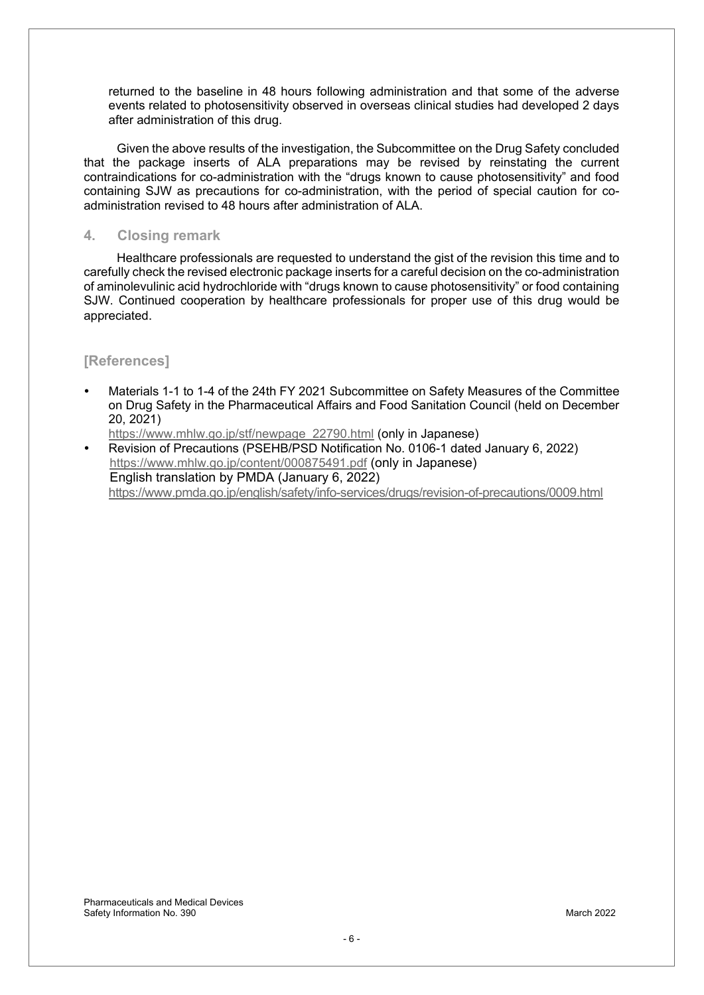returned to the baseline in 48 hours following administration and that some of the adverse events related to photosensitivity observed in overseas clinical studies had developed 2 days after administration of this drug.

Given the above results of the investigation, the Subcommittee on the Drug Safety concluded that the package inserts of ALA preparations may be revised by reinstating the current contraindications for co-administration with the "drugs known to cause photosensitivity" and food containing SJW as precautions for co-administration, with the period of special caution for coadministration revised to 48 hours after administration of ALA.

#### **4. Closing remark**

Healthcare professionals are requested to understand the gist of the revision this time and to carefully check the revised electronic package inserts for a careful decision on the co-administration of aminolevulinic acid hydrochloride with "drugs known to cause photosensitivity" or food containing SJW. Continued cooperation by healthcare professionals for proper use of this drug would be appreciated.

### **[References]**

Materials 1-1 to 1-4 of the 24th FY 2021 Subcommittee on Safety Measures of the Committee on Drug Safety in the Pharmaceutical Affairs and Food Sanitation Council (held on December 20, 2021)

https://www.mhlw.go.jp/stf/newpage\_22790.html (only in Japanese)

Revision of Precautions (PSEHB/PSD Notification No. 0106-1 dated January 6, 2022) https://www.mhlw.go.jp/content/000875491.pdf (only in Japanese) English translation by PMDA (January 6, 2022) https://www.pmda.go.jp/english/safety/info-services/drugs/revision-of-precautions/0009.html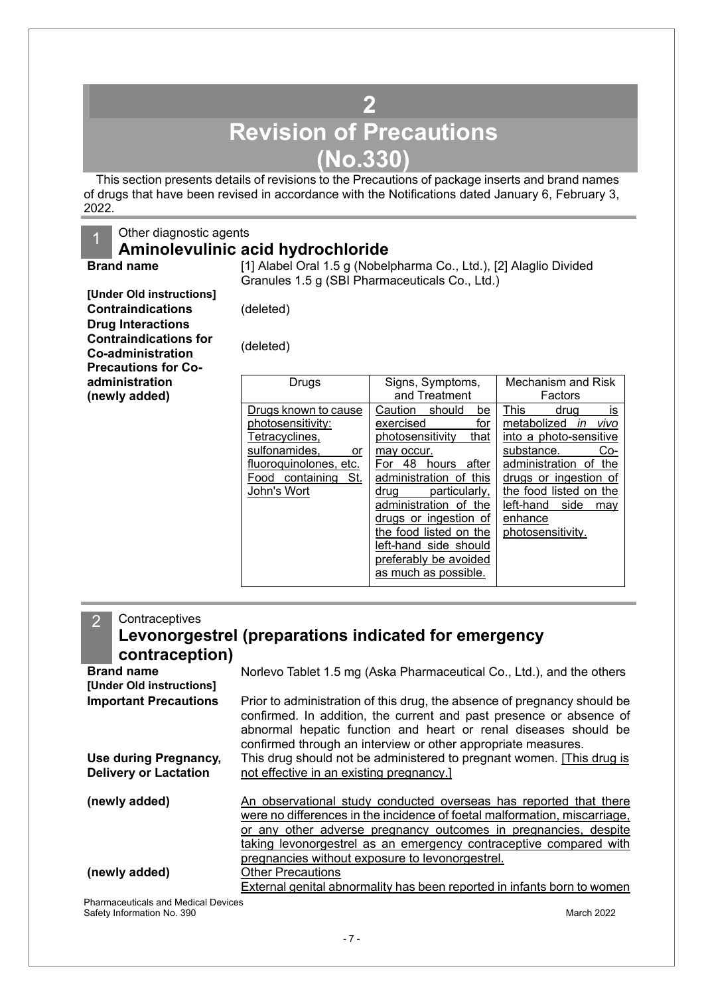# **2 Revision of Precautions (No.330)**

<span id="page-6-0"></span>This section presents details of revisions to the Precautions of package inserts and brand names of drugs that have been revised in accordance with the Notifications dated January 6, February 3, 2022.

### 1 Other diagnostic agents

### **Aminolevulinic acid hydrochloride**

**Brand name** [1] Alabel Oral 1.5 g (Nobelpharma Co., Ltd.), [2] Alaglio Divided Granules 1.5 g (SBI Pharmaceuticals Co., Ltd.)

**[Under Old instructions] Contraindications** (deleted) **Drug Interactions Contraindications for Co-administration** (deleted) **Precautions for Coadministration (newly added)**

| Drugs                                                                                                                                                 | Signs, Symptoms,<br>and Treatment                                                                                                                                                                                                                                                                                             | Mechanism and Risk<br>Factors                                                                                                                                                                                                             |  |
|-------------------------------------------------------------------------------------------------------------------------------------------------------|-------------------------------------------------------------------------------------------------------------------------------------------------------------------------------------------------------------------------------------------------------------------------------------------------------------------------------|-------------------------------------------------------------------------------------------------------------------------------------------------------------------------------------------------------------------------------------------|--|
| Drugs known to cause<br>photosensitivity:<br>Tetracyclines,<br>sulfonamides,<br>or<br>fluoroquinolones, etc.<br>Food containing<br>St.<br>John's Wort | Caution<br>should<br>be<br>for<br>exercised<br>photosensitivity<br>that<br>may occur.<br>48<br>For<br>hours<br>after<br>administration of this<br>particularly,<br>drug<br>administration of the<br>drugs or ingestion of<br>the food listed on the<br>left-hand side should<br>preferably be avoided<br>as much as possible. | is<br>This<br>drua<br>metabolized<br>vivo<br>in<br>into a photo-sensitive<br>substance.<br>Co-<br>administration of<br>the<br>drugs or ingestion of<br>the food listed on the<br>left-hand<br>side<br>may<br>enhance<br>photosensitivity. |  |

| Contraceptives<br>$\overline{2}$<br>contraception)    | Levonorgestrel (preparations indicated for emergency                                                                                                                                                                                                                                                                                             |
|-------------------------------------------------------|--------------------------------------------------------------------------------------------------------------------------------------------------------------------------------------------------------------------------------------------------------------------------------------------------------------------------------------------------|
| <b>Brand name</b><br>[Under Old instructions]         | Norlevo Tablet 1.5 mg (Aska Pharmaceutical Co., Ltd.), and the others                                                                                                                                                                                                                                                                            |
| <b>Important Precautions</b>                          | Prior to administration of this drug, the absence of pregnancy should be<br>confirmed. In addition, the current and past presence or absence of<br>abnormal hepatic function and heart or renal diseases should be<br>confirmed through an interview or other appropriate measures.                                                              |
| Use during Pregnancy,<br><b>Delivery or Lactation</b> | This drug should not be administered to pregnant women. [This drug is<br>not effective in an existing pregnancy.]                                                                                                                                                                                                                                |
| (newly added)                                         | An observational study conducted overseas has reported that there<br>were no differences in the incidence of foetal malformation, miscarriage,<br><u>or any other adverse pregnancy outcomes in pregnancies, despite</u><br>taking levonorgestrel as an emergency contraceptive compared with<br>pregnancies without exposure to levonorgestrel. |
| (newly added)                                         | Other Precautions<br>External genital abnormality has been reported in infants born to women                                                                                                                                                                                                                                                     |

Pharmaceuticals and Medical Devices Safety Information No. 390 March 2022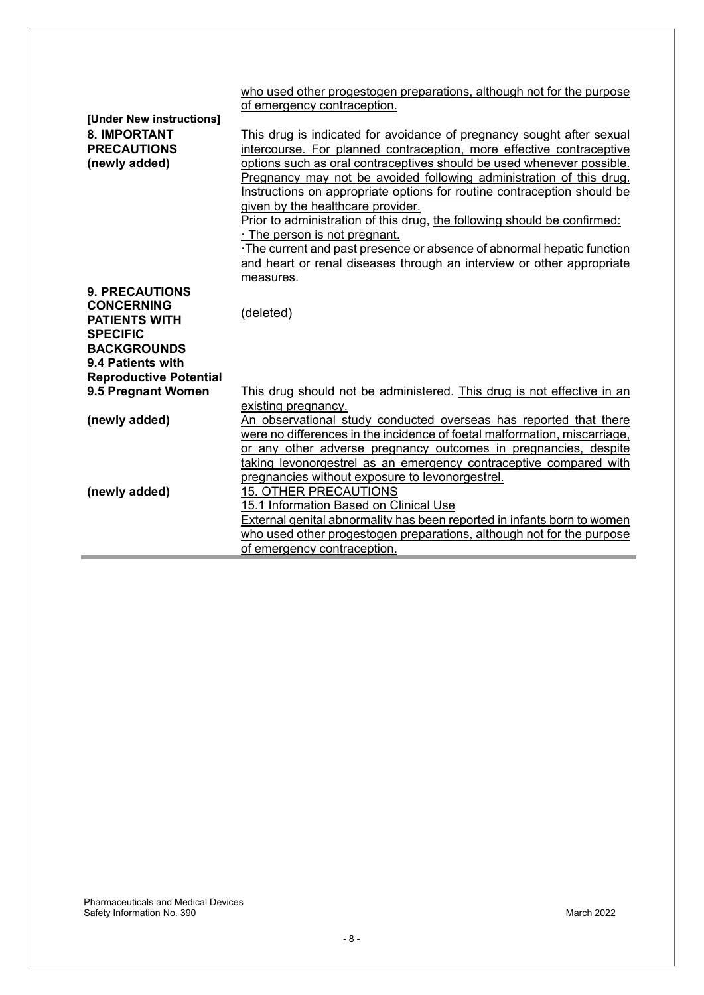|                               | who used other progestogen preparations, although not for the purpose     |  |  |
|-------------------------------|---------------------------------------------------------------------------|--|--|
|                               | of emergency contraception.                                               |  |  |
| [Under New instructions]      |                                                                           |  |  |
| <b>8. IMPORTANT</b>           | This drug is indicated for avoidance of pregnancy sought after sexual     |  |  |
| <b>PRECAUTIONS</b>            | intercourse. For planned contraception, more effective contraceptive      |  |  |
| (newly added)                 | options such as oral contraceptives should be used whenever possible.     |  |  |
|                               | Pregnancy may not be avoided following administration of this drug.       |  |  |
|                               | Instructions on appropriate options for routine contraception should be   |  |  |
|                               | given by the healthcare provider.                                         |  |  |
|                               | Prior to administration of this drug, the following should be confirmed:  |  |  |
|                               | . The person is not pregnant.                                             |  |  |
|                               | The current and past presence or absence of abnormal hepatic function     |  |  |
|                               | and heart or renal diseases through an interview or other appropriate     |  |  |
|                               | measures.                                                                 |  |  |
| <b>9. PRECAUTIONS</b>         |                                                                           |  |  |
| <b>CONCERNING</b>             |                                                                           |  |  |
| <b>PATIENTS WITH</b>          | (deleted)                                                                 |  |  |
| <b>SPECIFIC</b>               |                                                                           |  |  |
| <b>BACKGROUNDS</b>            |                                                                           |  |  |
| 9.4 Patients with             |                                                                           |  |  |
| <b>Reproductive Potential</b> |                                                                           |  |  |
| 9.5 Pregnant Women            | This drug should not be administered. This drug is not effective in an    |  |  |
|                               | existing pregnancy.                                                       |  |  |
| (newly added)                 | An observational study conducted overseas has reported that there         |  |  |
|                               | were no differences in the incidence of foetal malformation, miscarriage, |  |  |
|                               | or any other adverse pregnancy outcomes in pregnancies, despite           |  |  |
|                               | taking levonorgestrel as an emergency contraceptive compared with         |  |  |
|                               |                                                                           |  |  |
| (newly added)                 | pregnancies without exposure to levonorgestrel.                           |  |  |
|                               | 15. OTHER PRECAUTIONS                                                     |  |  |
|                               | 15.1 Information Based on Clinical Use                                    |  |  |
|                               | External genital abnormality has been reported in infants born to women   |  |  |
|                               | who used other progestogen preparations, although not for the purpose     |  |  |
|                               | of emergency contraception.                                               |  |  |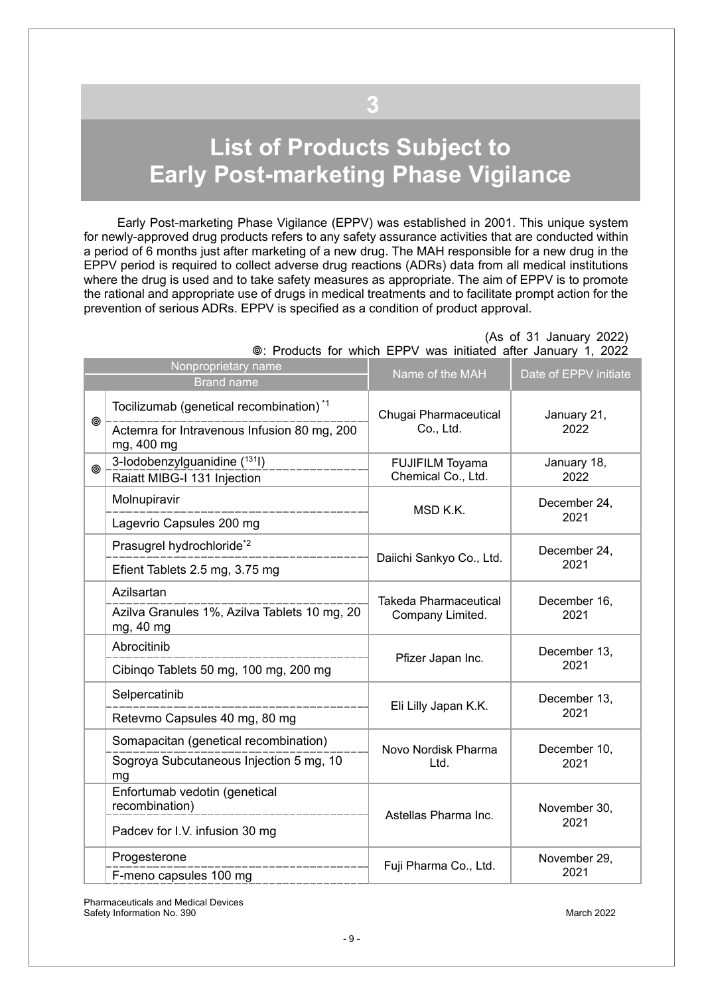# <span id="page-8-0"></span>**List of Products Subject to Early Post-marketing Phase Vigilance**

**3**

Early Post-marketing Phase Vigilance (EPPV) was established in 2001. This unique system for newly-approved drug products refers to any safety assurance activities that are conducted within a period of 6 months just after marketing of a new drug. The MAH responsible for a new drug in the EPPV period is required to collect adverse drug reactions (ADRs) data from all medical institutions where the drug is used and to take safety measures as appropriate. The aim of EPPV is to promote the rational and appropriate use of drugs in medical treatments and to facilitate prompt action for the prevention of serious ADRs. EPPV is specified as a condition of product approval.

(As of 31 January 2022)

|   | Nonproprietary name<br><b>Brand name</b>                                                                         | Name of the MAH                                  | Date of EPPV initiate |
|---|------------------------------------------------------------------------------------------------------------------|--------------------------------------------------|-----------------------|
| ◉ | Tocilizumab (genetical recombination) <sup>*1</sup><br>Actemra for Intravenous Infusion 80 mg, 200<br>mg, 400 mg | Chugai Pharmaceutical<br>Co., Ltd.               | January 21,<br>2022   |
| ◎ | 3-lodobenzylguanidine (131)<br>Raiatt MIBG-I 131 Injection                                                       | <b>FUJIFILM Toyama</b><br>Chemical Co., Ltd.     | January 18,<br>2022   |
|   | Molnupiravir<br>Lagevrio Capsules 200 mg                                                                         | MSD K.K.                                         | December 24,<br>2021  |
|   | Prasugrel hydrochloride* <sup>2</sup><br>Efient Tablets 2.5 mg, 3.75 mg                                          | Daiichi Sankyo Co., Ltd.                         | December 24,<br>2021  |
|   | Azilsartan<br>Azilva Granules 1%, Azilva Tablets 10 mg, 20<br>mg, 40 mg                                          | <b>Takeda Pharmaceutical</b><br>Company Limited. | December 16,<br>2021  |
|   | Abrocitinib<br>Cibingo Tablets 50 mg, 100 mg, 200 mg                                                             | Pfizer Japan Inc.                                | December 13,<br>2021  |
|   | Selpercatinib<br>Retevmo Capsules 40 mg, 80 mg                                                                   | Eli Lilly Japan K.K.                             | December 13,<br>2021  |
|   | Somapacitan (genetical recombination)<br>Sogroya Subcutaneous Injection 5 mg, 10<br>mg                           | Novo Nordisk Pharma<br>Ltd.                      | December 10,<br>2021  |
|   | Enfortumab vedotin (genetical<br>recombination)<br>Padcev for I.V. infusion 30 mg                                | Astellas Pharma Inc.                             | November 30,<br>2021  |
|   | Progesterone<br>F-meno capsules 100 mg                                                                           | Fuji Pharma Co., Ltd.                            | November 29,<br>2021  |

: Products for which EPPV was initiated after January 1, 2022

Pharmaceuticals and Medical Devices Safety Information No. 390 March 2022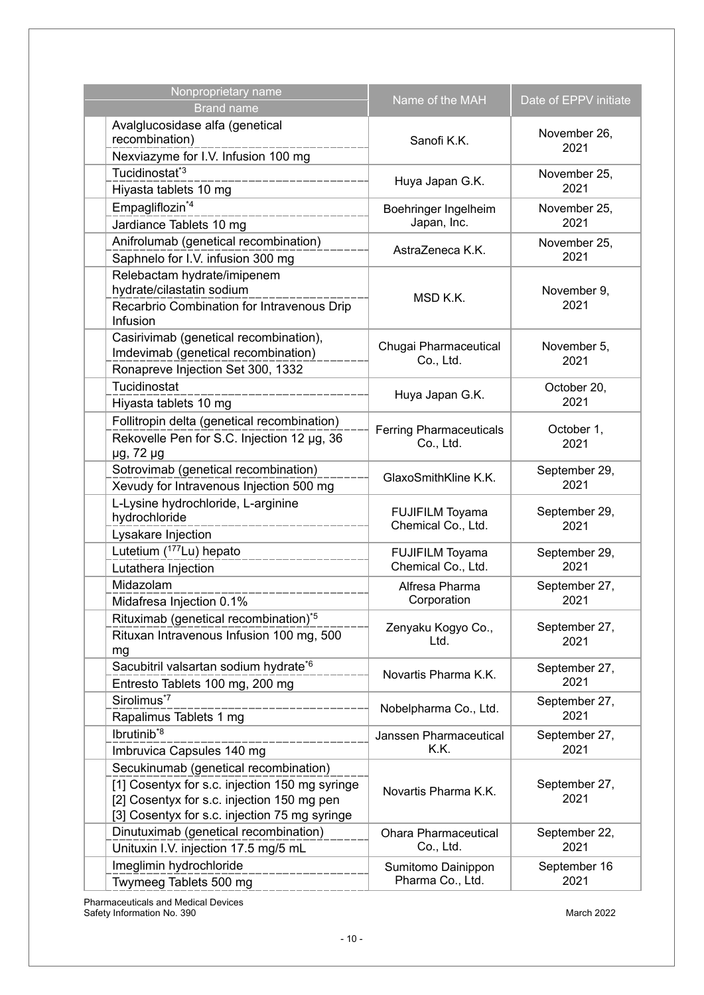| Nonproprietary name                                 | Name of the MAH                    | Date of EPPV initiate |
|-----------------------------------------------------|------------------------------------|-----------------------|
| <b>Brand name</b>                                   |                                    |                       |
| Avalglucosidase alfa (genetical<br>recombination)   | Sanofi K.K.                        | November 26,<br>2021  |
| Nexviazyme for I.V. Infusion 100 mg                 |                                    |                       |
| Tucidinostat <sup>*3</sup>                          |                                    | November 25,          |
| Hiyasta tablets 10 mg                               | Huya Japan G.K.                    | 2021                  |
| Empagliflozin <sup>*4</sup>                         | Boehringer Ingelheim               | November 25,          |
| Jardiance Tablets 10 mg                             | Japan, Inc.                        | 2021                  |
| Anifrolumab (genetical recombination)               |                                    | November 25,          |
| Saphnelo for I.V. infusion 300 mg                   | AstraZeneca K.K.                   | 2021                  |
| Relebactam hydrate/imipenem                         |                                    |                       |
| hydrate/cilastatin sodium                           |                                    | November 9,           |
| Recarbrio Combination for Intravenous Drip          | MSD K.K.                           | 2021                  |
| Infusion                                            |                                    |                       |
| Casirivimab (genetical recombination),              |                                    |                       |
| Imdevimab (genetical recombination)                 | Chugai Pharmaceutical<br>Co., Ltd. | November 5,<br>2021   |
| Ronapreve Injection Set 300, 1332                   |                                    |                       |
| Tucidinostat                                        | Huya Japan G.K.                    | October 20,           |
| Hiyasta tablets 10 mg                               |                                    | 2021                  |
| Follitropin delta (genetical recombination)         | <b>Ferring Pharmaceuticals</b>     | October 1,            |
| Rekovelle Pen for S.C. Injection 12 µg, 36          | Co., Ltd.                          | 2021                  |
| µg, 72 µg                                           |                                    | September 29,<br>2021 |
| Sotrovimab (genetical recombination)                | GlaxoSmithKline K.K.               |                       |
| Xevudy for Intravenous Injection 500 mg             |                                    |                       |
| L-Lysine hydrochloride, L-arginine<br>hydrochloride | FUJIFILM Toyama                    | September 29,         |
| Lysakare Injection                                  | Chemical Co., Ltd.                 | 2021                  |
| Lutetium (177Lu) hepato                             | <b>FUJIFILM Toyama</b>             | September 29,         |
| Lutathera Injection                                 | Chemical Co., Ltd.                 | 2021                  |
| Midazolam                                           | Alfresa Pharma                     |                       |
| Midafresa Injection 0.1%                            | Corporation                        | September 27,<br>2021 |
| Rituximab (genetical recombination) <sup>*5</sup>   |                                    |                       |
| Rituxan Intravenous Infusion 100 mg, 500            | Zenyaku Kogyo Co.,                 | September 27,         |
| mg                                                  | Ltd.                               | 2021                  |
| Sacubitril valsartan sodium hydrate <sup>*6</sup>   |                                    | September 27,         |
| Entresto Tablets 100 mg, 200 mg                     | Novartis Pharma K.K.               | 2021                  |
| Sirolimus <sup>*7</sup>                             |                                    | September 27,         |
| Rapalimus Tablets 1 mg                              | Nobelpharma Co., Ltd.              | 2021                  |
| lbrutinib <sup>*8</sup>                             | Janssen Pharmaceutical             | September 27,         |
| Imbruvica Capsules 140 mg                           | K.K.                               | 2021                  |
| Secukinumab (genetical recombination)               | Novartis Pharma K.K.               |                       |
| [1] Cosentyx for s.c. injection 150 mg syringe      |                                    | September 27,         |
| [2] Cosentyx for s.c. injection 150 mg pen          |                                    | 2021                  |
| [3] Cosentyx for s.c. injection 75 mg syringe       |                                    |                       |
| Dinutuximab (genetical recombination)               | <b>Ohara Pharmaceutical</b>        | September 22,         |
| Unituxin I.V. injection 17.5 mg/5 mL                | Co., Ltd.                          | 2021                  |
| Imeglimin hydrochloride                             | Sumitomo Dainippon                 | September 16          |
| Twymeeg Tablets 500 mg                              | Pharma Co., Ltd.                   | 2021                  |

Pharmaceuticals and Medical Devices Safety Information No. 390 March 2022 - And The Safety Information No. 390 March 2022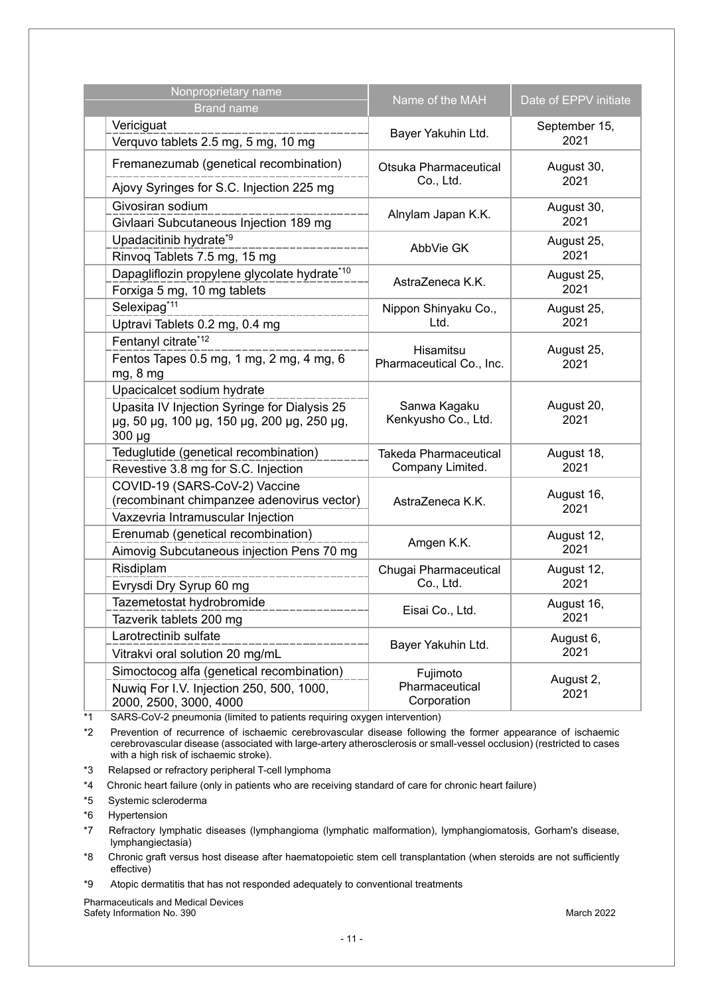| Nonproprietary name<br><b>Brand name</b>                                                                                                | Name of the MAH                                  | Date of EPPV initiate |
|-----------------------------------------------------------------------------------------------------------------------------------------|--------------------------------------------------|-----------------------|
| Vericiguat<br>Verquvo tablets 2.5 mg, 5 mg, 10 mg                                                                                       | Bayer Yakuhin Ltd.                               | September 15,<br>2021 |
| Fremanezumab (genetical recombination)<br>Ajovy Syringes for S.C. Injection 225 mg                                                      | Otsuka Pharmaceutical<br>Co., Ltd.               | August 30,<br>2021    |
| Givosiran sodium<br>Givlaari Subcutaneous Injection 189 mg                                                                              | Alnylam Japan K.K.                               | August 30,<br>2021    |
| Upadacitinib hydrate <sup>*9</sup><br>Rinvoq Tablets 7.5 mg, 15 mg                                                                      | AbbVie GK                                        | August 25,<br>2021    |
| Dapagliflozin propylene glycolate hydrate*10<br>Forxiga 5 mg, 10 mg tablets                                                             | AstraZeneca K.K.                                 | August 25,<br>2021    |
| Selexipag <sup>*11</sup><br>Uptravi Tablets 0.2 mg, 0.4 mg                                                                              | Nippon Shinyaku Co.,<br>Ltd.                     | August 25,<br>2021    |
| Fentanyl citrate*12<br>Fentos Tapes 0.5 mg, 1 mg, 2 mg, 4 mg, 6<br>mg, 8 mg                                                             | Hisamitsu<br>Pharmaceutical Co., Inc.            | August 25,<br>2021    |
| Upacicalcet sodium hydrate<br>Upasita IV Injection Syringe for Dialysis 25<br>µg, 50 µg, 100 µg, 150 µg, 200 µg, 250 µg,<br>$300 \mu g$ | Sanwa Kagaku<br>Kenkyusho Co., Ltd.              | August 20,<br>2021    |
| Teduglutide (genetical recombination)<br>Revestive 3.8 mg for S.C. Injection                                                            | <b>Takeda Pharmaceutical</b><br>Company Limited. | August 18,<br>2021    |
| COVID-19 (SARS-CoV-2) Vaccine<br>(recombinant chimpanzee adenovirus vector)<br>Vaxzevria Intramuscular Injection                        | AstraZeneca K.K.                                 | August 16,<br>2021    |
| Erenumab (genetical recombination)<br>Aimovig Subcutaneous injection Pens 70 mg                                                         | Amgen K.K.                                       | August 12,<br>2021    |
| Risdiplam<br>Evrysdi Dry Syrup 60 mg                                                                                                    | Chugai Pharmaceutical<br>Co., Ltd.               | August 12,<br>2021    |
| Tazemetostat hydrobromide<br>Tazverik tablets 200 mg                                                                                    | Eisai Co., Ltd.                                  | August 16,<br>2021    |
| Larotrectinib sulfate<br>Vitrakvi oral solution 20 mg/mL                                                                                | Bayer Yakuhin Ltd.                               | August 6,<br>2021     |
| Simoctocog alfa (genetical recombination)<br>Nuwiq For I.V. Injection 250, 500, 1000,<br>2000, 2500, 3000, 4000                         | Fujimoto<br>Pharmaceutical<br>Corporation        | August 2,<br>2021     |

\*1 SARS-CoV-2 pneumonia (limited to patients requiring oxygen intervention)

\*2 Prevention of recurrence of ischaemic cerebrovascular disease following the former appearance of ischaemic cerebrovascular disease (associated with large-artery atherosclerosis or small-vessel occlusion) (restricted to cases with a high risk of ischaemic stroke).

\*3 Relapsed or refractory peripheral T-cell lymphoma

\*4 Chronic heart failure (only in patients who are receiving standard of care for chronic heart failure)

\*5 Systemic scleroderma

\*6 Hypertension

\*7 Refractory lymphatic diseases (lymphangioma (lymphatic malformation), lymphangiomatosis, Gorham's disease, lymphangiectasia)

\*8 Chronic graft versus host disease after haematopoietic stem cell transplantation (when steroids are not sufficiently effective)

\*9 Atopic dermatitis that has not responded adequately to conventional treatments

Pharmaceuticals and Medical Devices Safety Information No. 390 **March 2022** March 2022